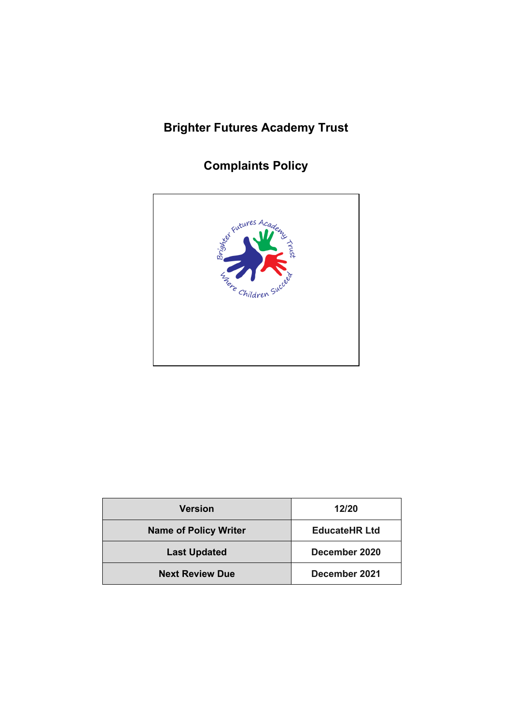# **Brighter Futures Academy Trust**

## **Complaints Policy**



| <b>Version</b>               | 12/20                |
|------------------------------|----------------------|
| <b>Name of Policy Writer</b> | <b>EducateHR Ltd</b> |
| <b>Last Updated</b>          | December 2020        |
| <b>Next Review Due</b>       | December 2021        |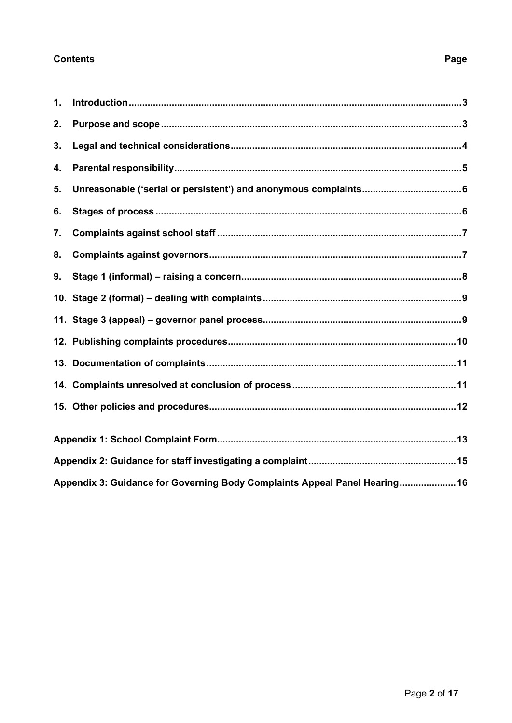#### **Contents**

### $\mathbf 1$ .  $2.$  $3.$  $4.$  $5.$ 6.  $\overline{7}$ . 8. 9. Appendix 3: Guidance for Governing Body Complaints Appeal Panel Hearing..................... 16

#### Page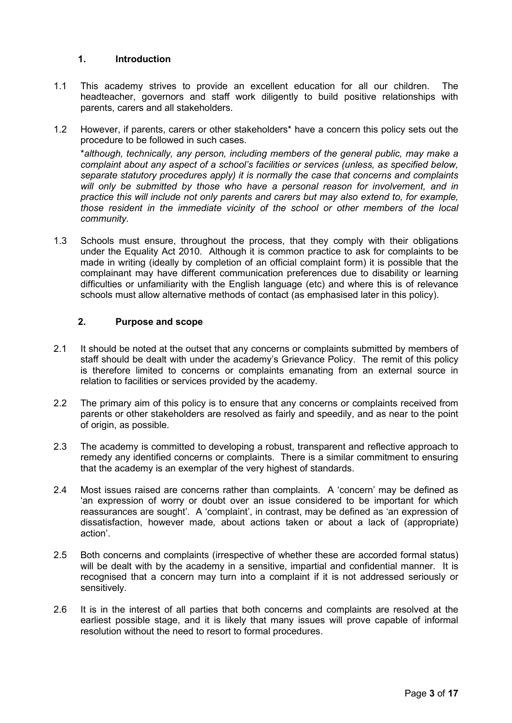#### <span id="page-2-0"></span>**1. Introduction**

- 1.1 This academy strives to provide an excellent education for all our children. The headteacher, governors and staff work diligently to build positive relationships with parents, carers and all stakeholders.
- 1.2 However, if parents, carers or other stakeholders\* have a concern this policy sets out the procedure to be followed in such cases.

\**although, technically, any person, including members of the general public, may make a complaint about any aspect of a school's facilities or services (unless, as specified below, separate statutory procedures apply) it is normally the case that concerns and complaints will only be submitted by those who have a personal reason for involvement, and in practice this will include not only parents and carers but may also extend to, for example, those resident in the immediate vicinity of the school or other members of the local community.*

1.3 Schools must ensure, throughout the process, that they comply with their obligations under the Equality Act 2010. Although it is common practice to ask for complaints to be made in writing (ideally by completion of an official complaint form) it is possible that the complainant may have different communication preferences due to disability or learning difficulties or unfamiliarity with the English language (etc) and where this is of relevance schools must allow alternative methods of contact (as emphasised later in this policy).

#### <span id="page-2-1"></span>**2. Purpose and scope**

- 2.1 It should be noted at the outset that any concerns or complaints submitted by members of staff should be dealt with under the academy's Grievance Policy. The remit of this policy is therefore limited to concerns or complaints emanating from an external source in relation to facilities or services provided by the academy.
- 2.2 The primary aim of this policy is to ensure that any concerns or complaints received from parents or other stakeholders are resolved as fairly and speedily, and as near to the point of origin, as possible.
- 2.3 The academy is committed to developing a robust, transparent and reflective approach to remedy any identified concerns or complaints. There is a similar commitment to ensuring that the academy is an exemplar of the very highest of standards.
- 2.4 Most issues raised are concerns rather than complaints. A 'concern' may be defined as 'an expression of worry or doubt over an issue considered to be important for which reassurances are sought'. A 'complaint', in contrast, may be defined as 'an expression of dissatisfaction, however made, about actions taken or about a lack of (appropriate) action'.
- 2.5 Both concerns and complaints (irrespective of whether these are accorded formal status) will be dealt with by the academy in a sensitive, impartial and confidential manner. It is recognised that a concern may turn into a complaint if it is not addressed seriously or sensitively.
- 2.6 It is in the interest of all parties that both concerns and complaints are resolved at the earliest possible stage, and it is likely that many issues will prove capable of informal resolution without the need to resort to formal procedures.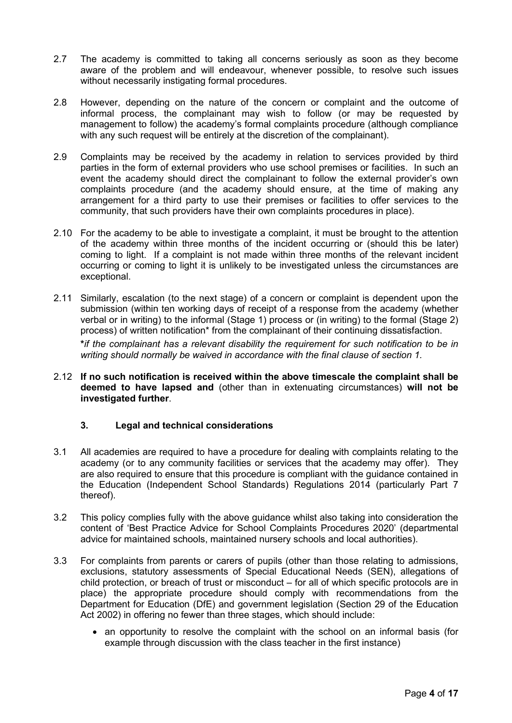- 2.7 The academy is committed to taking all concerns seriously as soon as they become aware of the problem and will endeavour, whenever possible, to resolve such issues without necessarily instigating formal procedures.
- 2.8 However, depending on the nature of the concern or complaint and the outcome of informal process, the complainant may wish to follow (or may be requested by management to follow) the academy's formal complaints procedure (although compliance with any such request will be entirely at the discretion of the complainant).
- 2.9 Complaints may be received by the academy in relation to services provided by third parties in the form of external providers who use school premises or facilities. In such an event the academy should direct the complainant to follow the external provider's own complaints procedure (and the academy should ensure, at the time of making any arrangement for a third party to use their premises or facilities to offer services to the community, that such providers have their own complaints procedures in place).
- 2.10 For the academy to be able to investigate a complaint, it must be brought to the attention of the academy within three months of the incident occurring or (should this be later) coming to light. If a complaint is not made within three months of the relevant incident occurring or coming to light it is unlikely to be investigated unless the circumstances are exceptional.
- 2.11 Similarly, escalation (to the next stage) of a concern or complaint is dependent upon the submission (within ten working days of receipt of a response from the academy (whether verbal or in writing) to the informal (Stage 1) process or (in writing) to the formal (Stage 2) process) of written notification\* from the complainant of their continuing dissatisfaction.

**\****if the complainant has a relevant disability the requirement for such notification to be in writing should normally be waived in accordance with the final clause of section 1.*

2.12 **If no such notification is received within the above timescale the complaint shall be deemed to have lapsed and** (other than in extenuating circumstances) **will not be investigated further**.

#### <span id="page-3-0"></span>**3. Legal and technical considerations**

- 3.1 All academies are required to have a procedure for dealing with complaints relating to the academy (or to any community facilities or services that the academy may offer). They are also required to ensure that this procedure is compliant with the guidance contained in the Education (Independent School Standards) Regulations 2014 (particularly Part 7 thereof).
- 3.2 This policy complies fully with the above guidance whilst also taking into consideration the content of 'Best Practice Advice for School Complaints Procedures 2020' (departmental advice for maintained schools, maintained nursery schools and local authorities).
- 3.3 For complaints from parents or carers of pupils (other than those relating to admissions, exclusions, statutory assessments of Special Educational Needs (SEN), allegations of child protection, or breach of trust or misconduct – for all of which specific protocols are in place) the appropriate procedure should comply with recommendations from the Department for Education (DfE) and government legislation (Section 29 of the Education Act 2002) in offering no fewer than three stages, which should include:
	- an opportunity to resolve the complaint with the school on an informal basis (for example through discussion with the class teacher in the first instance)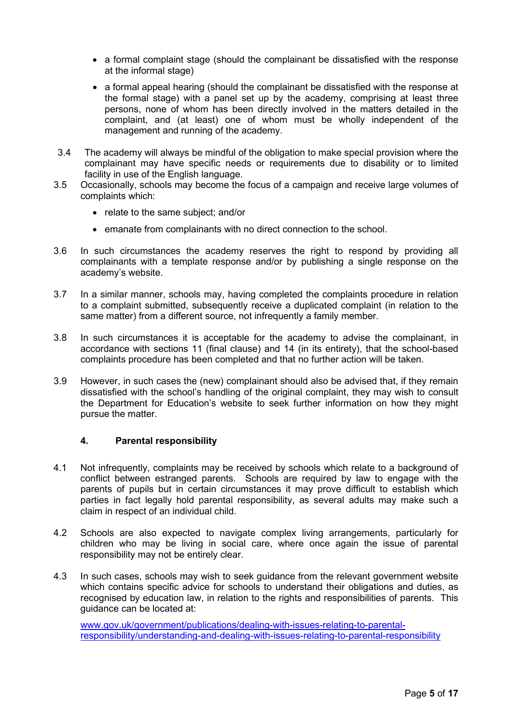- a formal complaint stage (should the complainant be dissatisfied with the response at the informal stage)
- a formal appeal hearing (should the complainant be dissatisfied with the response at the formal stage) with a panel set up by the academy, comprising at least three persons, none of whom has been directly involved in the matters detailed in the complaint, and (at least) one of whom must be wholly independent of the management and running of the academy.
- 3.4 The academy will always be mindful of the obligation to make special provision where the complainant may have specific needs or requirements due to disability or to limited facility in use of the English language.
- 3.5 Occasionally, schools may become the focus of a campaign and receive large volumes of complaints which:
	- relate to the same subject; and/or
	- emanate from complainants with no direct connection to the school.
- 3.6 In such circumstances the academy reserves the right to respond by providing all complainants with a template response and/or by publishing a single response on the academy's website.
- 3.7 In a similar manner, schools may, having completed the complaints procedure in relation to a complaint submitted, subsequently receive a duplicated complaint (in relation to the same matter) from a different source, not infrequently a family member.
- 3.8 In such circumstances it is acceptable for the academy to advise the complainant, in accordance with sections 11 (final clause) and 14 (in its entirety), that the school-based complaints procedure has been completed and that no further action will be taken.
- 3.9 However, in such cases the (new) complainant should also be advised that, if they remain dissatisfied with the school's handling of the original complaint, they may wish to consult the Department for Education's website to seek further information on how they might pursue the matter.

#### <span id="page-4-0"></span>**4. Parental responsibility**

- 4.1 Not infrequently, complaints may be received by schools which relate to a background of conflict between estranged parents. Schools are required by law to engage with the parents of pupils but in certain circumstances it may prove difficult to establish which parties in fact legally hold parental responsibility, as several adults may make such a claim in respect of an individual child.
- 4.2 Schools are also expected to navigate complex living arrangements, particularly for children who may be living in social care, where once again the issue of parental responsibility may not be entirely clear.
- 4.3 In such cases, schools may wish to seek guidance from the relevant government website which contains specific advice for schools to understand their obligations and duties, as recognised by education law, in relation to the rights and responsibilities of parents. This guidance can be located at:

[www.gov.uk/government/publications/dealing-with-issues-relating-to-parental](http://www.gov.uk/government/publications/dealing-with-issues-relating-to-parental-responsibility/understanding-and-dealing-with-issues-relating-to-parental-responsibility)[responsibility/understanding-and-dealing-with-issues-relating-to-parental-responsibility](http://www.gov.uk/government/publications/dealing-with-issues-relating-to-parental-responsibility/understanding-and-dealing-with-issues-relating-to-parental-responsibility)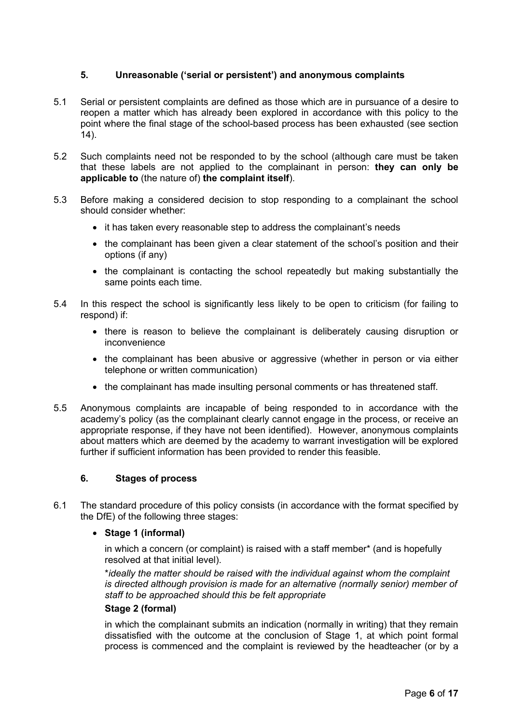#### <span id="page-5-0"></span>**5. Unreasonable ('serial or persistent') and anonymous complaints**

- 5.1 Serial or persistent complaints are defined as those which are in pursuance of a desire to reopen a matter which has already been explored in accordance with this policy to the point where the final stage of the school-based process has been exhausted (see section 14).
- 5.2 Such complaints need not be responded to by the school (although care must be taken that these labels are not applied to the complainant in person: **they can only be applicable to** (the nature of) **the complaint itself**).
- 5.3 Before making a considered decision to stop responding to a complainant the school should consider whether:
	- it has taken every reasonable step to address the complainant's needs
	- the complainant has been given a clear statement of the school's position and their options (if any)
	- the complainant is contacting the school repeatedly but making substantially the same points each time.
- 5.4 In this respect the school is significantly less likely to be open to criticism (for failing to respond) if:
	- there is reason to believe the complainant is deliberately causing disruption or inconvenience
	- the complainant has been abusive or aggressive (whether in person or via either telephone or written communication)
	- the complainant has made insulting personal comments or has threatened staff.
- 5.5 Anonymous complaints are incapable of being responded to in accordance with the academy's policy (as the complainant clearly cannot engage in the process, or receive an appropriate response, if they have not been identified). However, anonymous complaints about matters which are deemed by the academy to warrant investigation will be explored further if sufficient information has been provided to render this feasible.

#### <span id="page-5-1"></span>**6. Stages of process**

6.1 The standard procedure of this policy consists (in accordance with the format specified by the DfE) of the following three stages:

#### • **Stage 1 (informal)**

in which a concern (or complaint) is raised with a staff member\* (and is hopefully resolved at that initial level).

\**ideally the matter should be raised with the individual against whom the complaint is directed although provision is made for an alternative (normally senior) member of staff to be approached should this be felt appropriate* 

#### **Stage 2 (formal)**

in which the complainant submits an indication (normally in writing) that they remain dissatisfied with the outcome at the conclusion of Stage 1, at which point formal process is commenced and the complaint is reviewed by the headteacher (or by a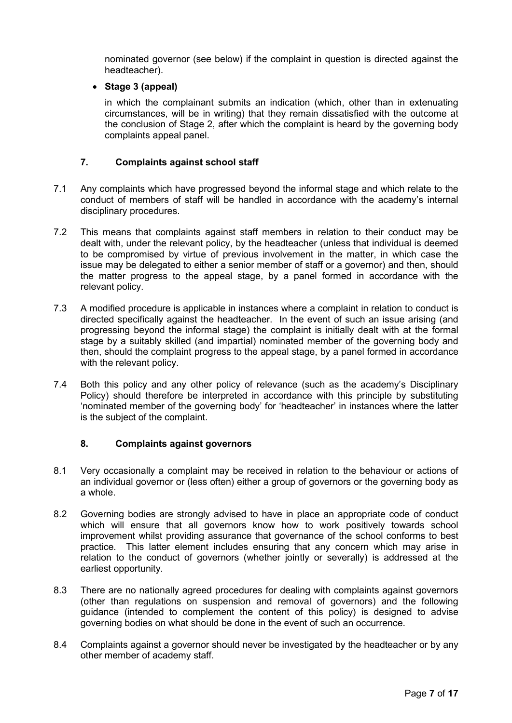nominated governor (see below) if the complaint in question is directed against the headteacher).

#### • **Stage 3 (appeal)**

in which the complainant submits an indication (which, other than in extenuating circumstances, will be in writing) that they remain dissatisfied with the outcome at the conclusion of Stage 2, after which the complaint is heard by the governing body complaints appeal panel.

#### <span id="page-6-0"></span>**7. Complaints against school staff**

- 7.1 Any complaints which have progressed beyond the informal stage and which relate to the conduct of members of staff will be handled in accordance with the academy's internal disciplinary procedures.
- 7.2 This means that complaints against staff members in relation to their conduct may be dealt with, under the relevant policy, by the headteacher (unless that individual is deemed to be compromised by virtue of previous involvement in the matter, in which case the issue may be delegated to either a senior member of staff or a governor) and then, should the matter progress to the appeal stage, by a panel formed in accordance with the relevant policy.
- 7.3 A modified procedure is applicable in instances where a complaint in relation to conduct is directed specifically against the headteacher. In the event of such an issue arising (and progressing beyond the informal stage) the complaint is initially dealt with at the formal stage by a suitably skilled (and impartial) nominated member of the governing body and then, should the complaint progress to the appeal stage, by a panel formed in accordance with the relevant policy.
- 7.4 Both this policy and any other policy of relevance (such as the academy's Disciplinary Policy) should therefore be interpreted in accordance with this principle by substituting 'nominated member of the governing body' for 'headteacher' in instances where the latter is the subject of the complaint.

#### <span id="page-6-1"></span>**8. Complaints against governors**

- 8.1 Very occasionally a complaint may be received in relation to the behaviour or actions of an individual governor or (less often) either a group of governors or the governing body as a whole.
- 8.2 Governing bodies are strongly advised to have in place an appropriate code of conduct which will ensure that all governors know how to work positively towards school improvement whilst providing assurance that governance of the school conforms to best practice. This latter element includes ensuring that any concern which may arise in relation to the conduct of governors (whether jointly or severally) is addressed at the earliest opportunity.
- 8.3 There are no nationally agreed procedures for dealing with complaints against governors (other than regulations on suspension and removal of governors) and the following guidance (intended to complement the content of this policy) is designed to advise governing bodies on what should be done in the event of such an occurrence.
- 8.4 Complaints against a governor should never be investigated by the headteacher or by any other member of academy staff.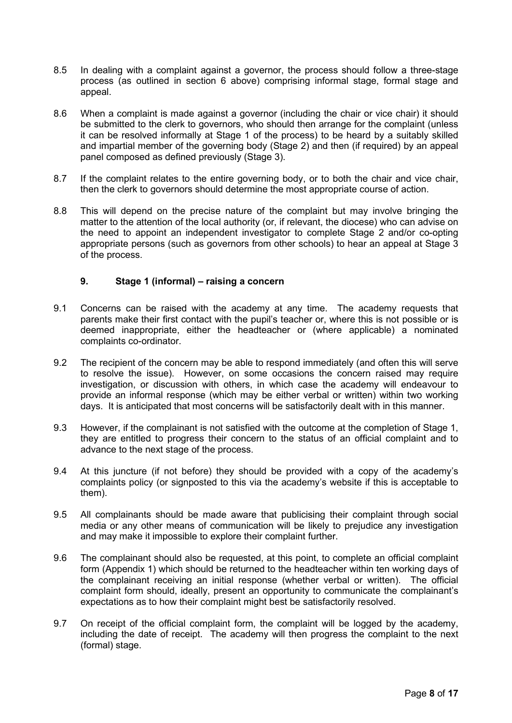- 8.5 In dealing with a complaint against a governor, the process should follow a three-stage process (as outlined in section 6 above) comprising informal stage, formal stage and appeal.
- 8.6 When a complaint is made against a governor (including the chair or vice chair) it should be submitted to the clerk to governors, who should then arrange for the complaint (unless it can be resolved informally at Stage 1 of the process) to be heard by a suitably skilled and impartial member of the governing body (Stage 2) and then (if required) by an appeal panel composed as defined previously (Stage 3).
- 8.7 If the complaint relates to the entire governing body, or to both the chair and vice chair, then the clerk to governors should determine the most appropriate course of action.
- 8.8 This will depend on the precise nature of the complaint but may involve bringing the matter to the attention of the local authority (or, if relevant, the diocese) who can advise on the need to appoint an independent investigator to complete Stage 2 and/or co-opting appropriate persons (such as governors from other schools) to hear an appeal at Stage 3 of the process.

#### <span id="page-7-0"></span>**9. Stage 1 (informal) – raising a concern**

- 9.1 Concerns can be raised with the academy at any time. The academy requests that parents make their first contact with the pupil's teacher or, where this is not possible or is deemed inappropriate, either the headteacher or (where applicable) a nominated complaints co-ordinator.
- 9.2 The recipient of the concern may be able to respond immediately (and often this will serve to resolve the issue). However, on some occasions the concern raised may require investigation, or discussion with others, in which case the academy will endeavour to provide an informal response (which may be either verbal or written) within two working days. It is anticipated that most concerns will be satisfactorily dealt with in this manner.
- 9.3 However, if the complainant is not satisfied with the outcome at the completion of Stage 1, they are entitled to progress their concern to the status of an official complaint and to advance to the next stage of the process.
- 9.4 At this juncture (if not before) they should be provided with a copy of the academy's complaints policy (or signposted to this via the academy's website if this is acceptable to them).
- 9.5 All complainants should be made aware that publicising their complaint through social media or any other means of communication will be likely to prejudice any investigation and may make it impossible to explore their complaint further.
- 9.6 The complainant should also be requested, at this point, to complete an official complaint form (Appendix 1) which should be returned to the headteacher within ten working days of the complainant receiving an initial response (whether verbal or written). The official complaint form should, ideally, present an opportunity to communicate the complainant's expectations as to how their complaint might best be satisfactorily resolved.
- 9.7 On receipt of the official complaint form, the complaint will be logged by the academy, including the date of receipt. The academy will then progress the complaint to the next (formal) stage.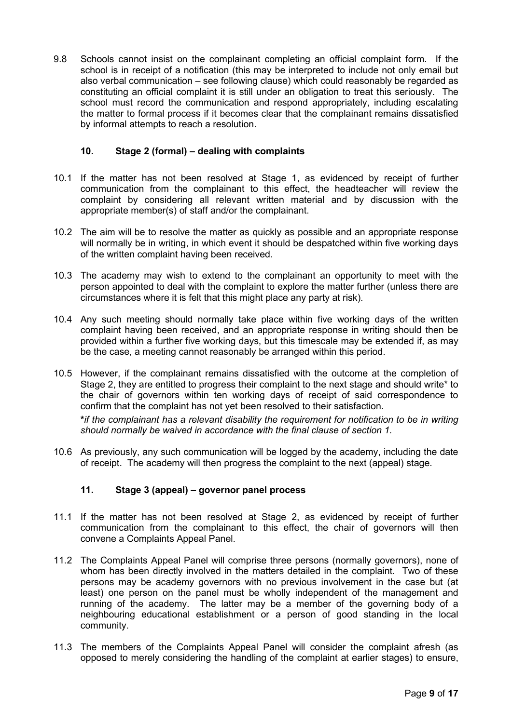9.8 Schools cannot insist on the complainant completing an official complaint form. If the school is in receipt of a notification (this may be interpreted to include not only email but also verbal communication – see following clause) which could reasonably be regarded as constituting an official complaint it is still under an obligation to treat this seriously. The school must record the communication and respond appropriately, including escalating the matter to formal process if it becomes clear that the complainant remains dissatisfied by informal attempts to reach a resolution.

#### <span id="page-8-0"></span>**10. Stage 2 (formal) – dealing with complaints**

- 10.1 If the matter has not been resolved at Stage 1, as evidenced by receipt of further communication from the complainant to this effect, the headteacher will review the complaint by considering all relevant written material and by discussion with the appropriate member(s) of staff and/or the complainant.
- 10.2 The aim will be to resolve the matter as quickly as possible and an appropriate response will normally be in writing, in which event it should be despatched within five working days of the written complaint having been received.
- 10.3 The academy may wish to extend to the complainant an opportunity to meet with the person appointed to deal with the complaint to explore the matter further (unless there are circumstances where it is felt that this might place any party at risk).
- 10.4 Any such meeting should normally take place within five working days of the written complaint having been received, and an appropriate response in writing should then be provided within a further five working days, but this timescale may be extended if, as may be the case, a meeting cannot reasonably be arranged within this period.
- 10.5 However, if the complainant remains dissatisfied with the outcome at the completion of Stage 2, they are entitled to progress their complaint to the next stage and should write\* to the chair of governors within ten working days of receipt of said correspondence to confirm that the complaint has not yet been resolved to their satisfaction.

**\****if the complainant has a relevant disability the requirement for notification to be in writing should normally be waived in accordance with the final clause of section 1.*

10.6 As previously, any such communication will be logged by the academy, including the date of receipt. The academy will then progress the complaint to the next (appeal) stage.

#### <span id="page-8-1"></span>**11. Stage 3 (appeal) – governor panel process**

- 11.1 If the matter has not been resolved at Stage 2, as evidenced by receipt of further communication from the complainant to this effect, the chair of governors will then convene a Complaints Appeal Panel.
- 11.2 The Complaints Appeal Panel will comprise three persons (normally governors), none of whom has been directly involved in the matters detailed in the complaint. Two of these persons may be academy governors with no previous involvement in the case but (at least) one person on the panel must be wholly independent of the management and running of the academy. The latter may be a member of the governing body of a neighbouring educational establishment or a person of good standing in the local community.
- 11.3 The members of the Complaints Appeal Panel will consider the complaint afresh (as opposed to merely considering the handling of the complaint at earlier stages) to ensure,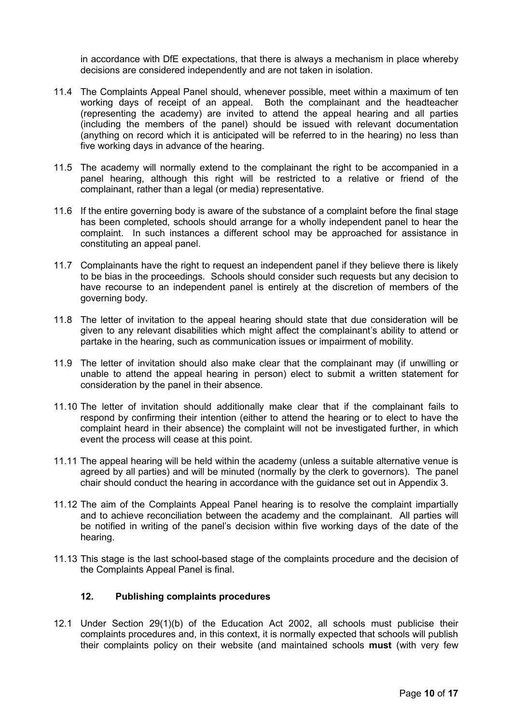in accordance with DfE expectations, that there is always a mechanism in place whereby decisions are considered independently and are not taken in isolation.

- 11.4 The Complaints Appeal Panel should, whenever possible, meet within a maximum of ten working days of receipt of an appeal. Both the complainant and the headteacher (representing the academy) are invited to attend the appeal hearing and all parties (including the members of the panel) should be issued with relevant documentation (anything on record which it is anticipated will be referred to in the hearing) no less than five working days in advance of the hearing.
- 11.5 The academy will normally extend to the complainant the right to be accompanied in a panel hearing, although this right will be restricted to a relative or friend of the complainant, rather than a legal (or media) representative.
- 11.6 If the entire governing body is aware of the substance of a complaint before the final stage has been completed, schools should arrange for a wholly independent panel to hear the complaint. In such instances a different school may be approached for assistance in constituting an appeal panel.
- 11.7 Complainants have the right to request an independent panel if they believe there is likely to be bias in the proceedings. Schools should consider such requests but any decision to have recourse to an independent panel is entirely at the discretion of members of the governing body.
- 11.8 The letter of invitation to the appeal hearing should state that due consideration will be given to any relevant disabilities which might affect the complainant's ability to attend or partake in the hearing, such as communication issues or impairment of mobility.
- 11.9 The letter of invitation should also make clear that the complainant may (if unwilling or unable to attend the appeal hearing in person) elect to submit a written statement for consideration by the panel in their absence.
- 11.10 The letter of invitation should additionally make clear that if the complainant fails to respond by confirming their intention (either to attend the hearing or to elect to have the complaint heard in their absence) the complaint will not be investigated further, in which event the process will cease at this point.
- 11.11 The appeal hearing will be held within the academy (unless a suitable alternative venue is agreed by all parties) and will be minuted (normally by the clerk to governors). The panel chair should conduct the hearing in accordance with the guidance set out in Appendix 3.
- 11.12 The aim of the Complaints Appeal Panel hearing is to resolve the complaint impartially and to achieve reconciliation between the academy and the complainant. All parties will be notified in writing of the panel's decision within five working days of the date of the hearing.
- 11.13 This stage is the last school-based stage of the complaints procedure and the decision of the Complaints Appeal Panel is final.

#### <span id="page-9-0"></span>**12. Publishing complaints procedures**

12.1 Under Section 29(1)(b) of the Education Act 2002, all schools must publicise their complaints procedures and, in this context, it is normally expected that schools will publish their complaints policy on their website (and maintained schools **must** (with very few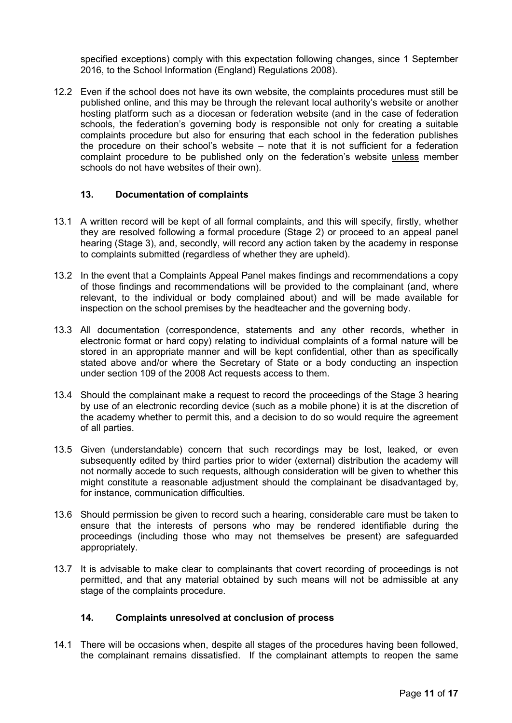specified exceptions) comply with this expectation following changes, since 1 September 2016, to the School Information (England) Regulations 2008).

12.2 Even if the school does not have its own website, the complaints procedures must still be published online, and this may be through the relevant local authority's website or another hosting platform such as a diocesan or federation website (and in the case of federation schools, the federation's governing body is responsible not only for creating a suitable complaints procedure but also for ensuring that each school in the federation publishes the procedure on their school's website – note that it is not sufficient for a federation complaint procedure to be published only on the federation's website unless member schools do not have websites of their own).

#### <span id="page-10-0"></span>**13. Documentation of complaints**

- 13.1 A written record will be kept of all formal complaints, and this will specify, firstly, whether they are resolved following a formal procedure (Stage 2) or proceed to an appeal panel hearing (Stage 3), and, secondly, will record any action taken by the academy in response to complaints submitted (regardless of whether they are upheld).
- 13.2 In the event that a Complaints Appeal Panel makes findings and recommendations a copy of those findings and recommendations will be provided to the complainant (and, where relevant, to the individual or body complained about) and will be made available for inspection on the school premises by the headteacher and the governing body.
- 13.3 All documentation (correspondence, statements and any other records, whether in electronic format or hard copy) relating to individual complaints of a formal nature will be stored in an appropriate manner and will be kept confidential, other than as specifically stated above and/or where the Secretary of State or a body conducting an inspection under section 109 of the 2008 Act requests access to them.
- 13.4 Should the complainant make a request to record the proceedings of the Stage 3 hearing by use of an electronic recording device (such as a mobile phone) it is at the discretion of the academy whether to permit this, and a decision to do so would require the agreement of all parties.
- 13.5 Given (understandable) concern that such recordings may be lost, leaked, or even subsequently edited by third parties prior to wider (external) distribution the academy will not normally accede to such requests, although consideration will be given to whether this might constitute a reasonable adjustment should the complainant be disadvantaged by, for instance, communication difficulties.
- 13.6 Should permission be given to record such a hearing, considerable care must be taken to ensure that the interests of persons who may be rendered identifiable during the proceedings (including those who may not themselves be present) are safeguarded appropriately.
- 13.7 It is advisable to make clear to complainants that covert recording of proceedings is not permitted, and that any material obtained by such means will not be admissible at any stage of the complaints procedure.

#### <span id="page-10-1"></span>**14. Complaints unresolved at conclusion of process**

14.1 There will be occasions when, despite all stages of the procedures having been followed, the complainant remains dissatisfied. If the complainant attempts to reopen the same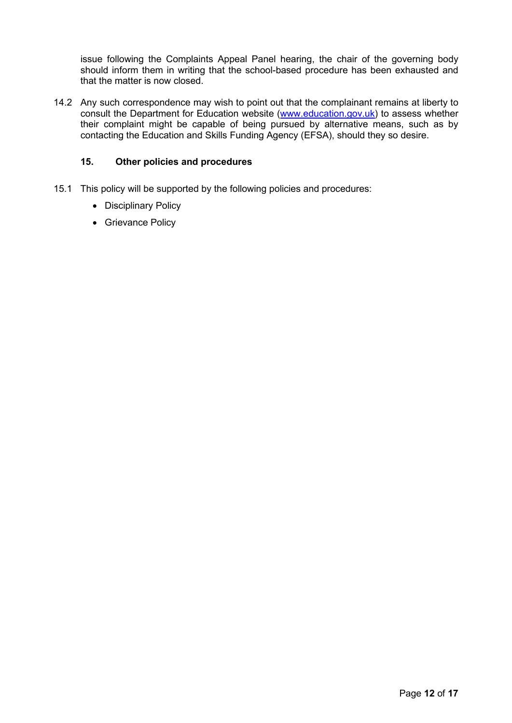issue following the Complaints Appeal Panel hearing, the chair of the governing body should inform them in writing that the school-based procedure has been exhausted and that the matter is now closed.

14.2 Any such correspondence may wish to point out that the complainant remains at liberty to consult the Department for Education website [\(www.education.gov.uk\)](http://www.education.gov.uk/) to assess whether their complaint might be capable of being pursued by alternative means, such as by contacting the Education and Skills Funding Agency (EFSA), should they so desire.

#### <span id="page-11-0"></span>**15. Other policies and procedures**

- 15.1 This policy will be supported by the following policies and procedures:
	- Disciplinary Policy
	- Grievance Policy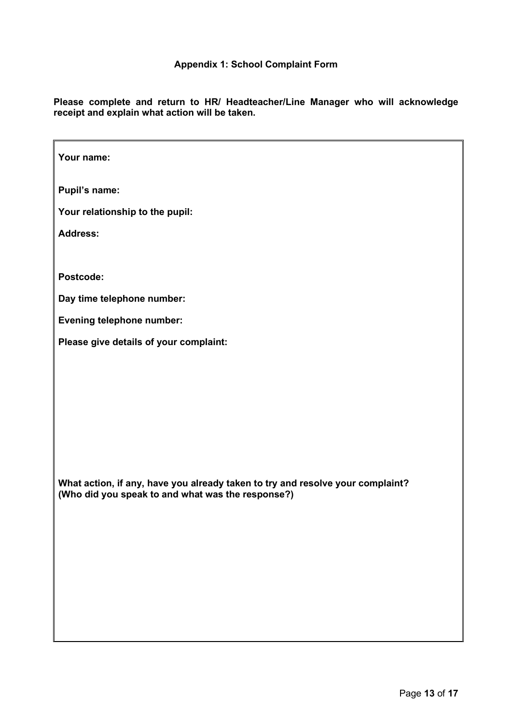<span id="page-12-0"></span>**Please complete and return to HR/ Headteacher/Line Manager who will acknowledge receipt and explain what action will be taken.**

| Your name:                                                                                                                          |
|-------------------------------------------------------------------------------------------------------------------------------------|
| <b>Pupil's name:</b>                                                                                                                |
| Your relationship to the pupil:                                                                                                     |
| <b>Address:</b>                                                                                                                     |
|                                                                                                                                     |
| Postcode:                                                                                                                           |
| Day time telephone number:                                                                                                          |
| Evening telephone number:                                                                                                           |
| Please give details of your complaint:                                                                                              |
| What action, if any, have you already taken to try and resolve your complaint?<br>(Who did you speak to and what was the response?) |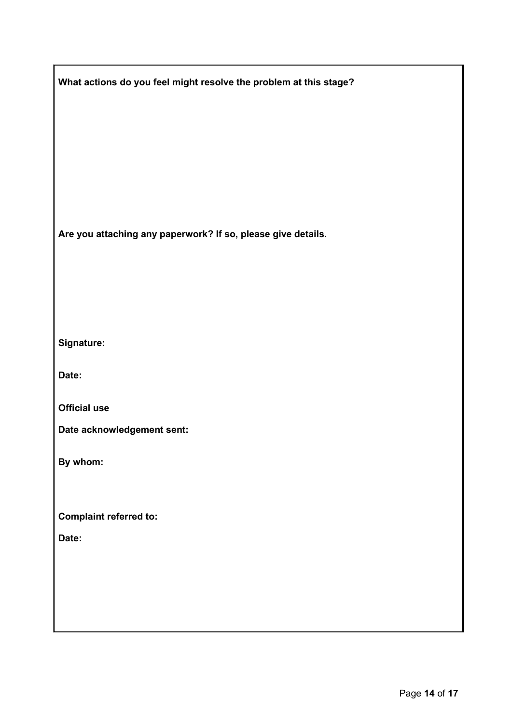| What actions do you feel might resolve the problem at this stage? |  |
|-------------------------------------------------------------------|--|
|                                                                   |  |
|                                                                   |  |
|                                                                   |  |
|                                                                   |  |
|                                                                   |  |
| Are you attaching any paperwork? If so, please give details.      |  |
|                                                                   |  |
|                                                                   |  |
|                                                                   |  |
| Signature:                                                        |  |
| Date:                                                             |  |
| <b>Official use</b>                                               |  |
| Date acknowledgement sent:                                        |  |
| By whom:                                                          |  |
|                                                                   |  |
| <b>Complaint referred to:</b>                                     |  |
| Date:                                                             |  |
|                                                                   |  |
|                                                                   |  |
|                                                                   |  |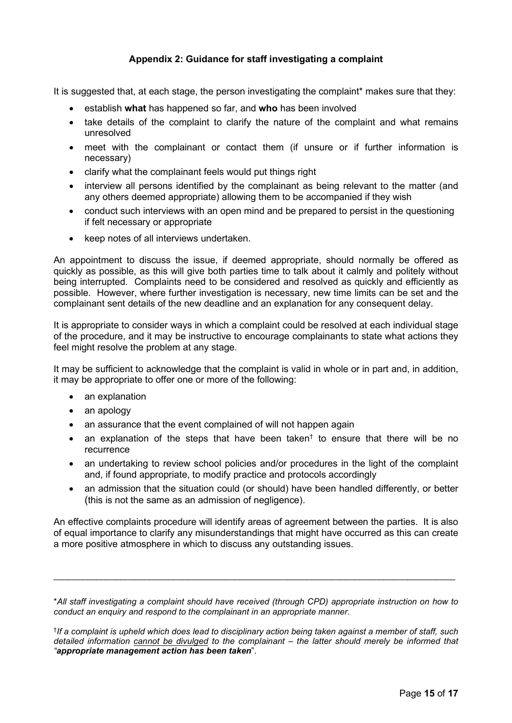#### **Appendix 2: Guidance for staff investigating a complaint**

<span id="page-14-0"></span>It is suggested that, at each stage, the person investigating the complaint\* makes sure that they:

- establish **what** has happened so far, and **who** has been involved
- take details of the complaint to clarify the nature of the complaint and what remains unresolved
- meet with the complainant or contact them (if unsure or if further information is necessary)
- clarify what the complainant feels would put things right
- interview all persons identified by the complainant as being relevant to the matter (and any others deemed appropriate) allowing them to be accompanied if they wish
- conduct such interviews with an open mind and be prepared to persist in the questioning if felt necessary or appropriate
- keep notes of all interviews undertaken.

An appointment to discuss the issue, if deemed appropriate, should normally be offered as quickly as possible, as this will give both parties time to talk about it calmly and politely without being interrupted. Complaints need to be considered and resolved as quickly and efficiently as possible. However, where further investigation is necessary, new time limits can be set and the complainant sent details of the new deadline and an explanation for any consequent delay.

It is appropriate to consider ways in which a complaint could be resolved at each individual stage of the procedure, and it may be instructive to encourage complainants to state what actions they feel might resolve the problem at any stage.

It may be sufficient to acknowledge that the complaint is valid in whole or in part and, in addition, it may be appropriate to offer one or more of the following:

- an explanation
- an apology
- an assurance that the event complained of will not happen again
- an explanation of the steps that have been taken<sup>†</sup> to ensure that there will be no recurrence
- an undertaking to review school policies and/or procedures in the light of the complaint and, if found appropriate, to modify practice and protocols accordingly
- an admission that the situation could (or should) have been handled differently, or better (this is not the same as an admission of negligence).

An effective complaints procedure will identify areas of agreement between the parties. It is also of equal importance to clarify any misunderstandings that might have occurred as this can create a more positive atmosphere in which to discuss any outstanding issues.

\_\_\_\_\_\_\_\_\_\_\_\_\_\_\_\_\_\_\_\_\_\_\_\_\_\_\_\_\_\_\_\_\_\_\_\_\_\_\_\_\_\_\_\_\_\_\_\_\_\_\_\_\_\_\_\_\_\_\_\_\_\_\_\_\_\_\_\_\_\_\_\_\_\_\_\_\_\_\_\_\_\_\_\_

<sup>\*</sup>*All staff investigating a complaint should have received (through CPD) appropriate instruction on how to conduct an enquiry and respond to the complainant in an appropriate manner*.

<sup>†</sup>*If a complaint is upheld which does lead to disciplinary action being taken against a member of staff, such detailed information cannot be divulged to the complainant – the latter should merely be informed that "appropriate management action has been taken*".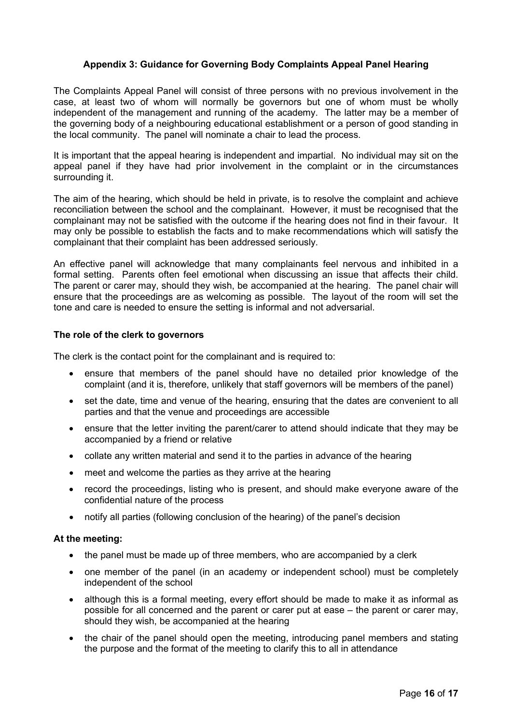#### <span id="page-15-0"></span>**Appendix 3: Guidance for Governing Body Complaints Appeal Panel Hearing**

The Complaints Appeal Panel will consist of three persons with no previous involvement in the case, at least two of whom will normally be governors but one of whom must be wholly independent of the management and running of the academy. The latter may be a member of the governing body of a neighbouring educational establishment or a person of good standing in the local community. The panel will nominate a chair to lead the process.

It is important that the appeal hearing is independent and impartial. No individual may sit on the appeal panel if they have had prior involvement in the complaint or in the circumstances surrounding it.

The aim of the hearing, which should be held in private, is to resolve the complaint and achieve reconciliation between the school and the complainant. However, it must be recognised that the complainant may not be satisfied with the outcome if the hearing does not find in their favour. It may only be possible to establish the facts and to make recommendations which will satisfy the complainant that their complaint has been addressed seriously.

An effective panel will acknowledge that many complainants feel nervous and inhibited in a formal setting. Parents often feel emotional when discussing an issue that affects their child. The parent or carer may, should they wish, be accompanied at the hearing. The panel chair will ensure that the proceedings are as welcoming as possible. The layout of the room will set the tone and care is needed to ensure the setting is informal and not adversarial.

#### **The role of the clerk to governors**

The clerk is the contact point for the complainant and is required to:

- ensure that members of the panel should have no detailed prior knowledge of the complaint (and it is, therefore, unlikely that staff governors will be members of the panel)
- set the date, time and venue of the hearing, ensuring that the dates are convenient to all parties and that the venue and proceedings are accessible
- ensure that the letter inviting the parent/carer to attend should indicate that they may be accompanied by a friend or relative
- collate any written material and send it to the parties in advance of the hearing
- meet and welcome the parties as they arrive at the hearing
- record the proceedings, listing who is present, and should make everyone aware of the confidential nature of the process
- notify all parties (following conclusion of the hearing) of the panel's decision

#### **At the meeting:**

- the panel must be made up of three members, who are accompanied by a clerk
- one member of the panel (in an academy or independent school) must be completely independent of the school
- although this is a formal meeting, every effort should be made to make it as informal as possible for all concerned and the parent or carer put at ease – the parent or carer may, should they wish, be accompanied at the hearing
- the chair of the panel should open the meeting, introducing panel members and stating the purpose and the format of the meeting to clarify this to all in attendance